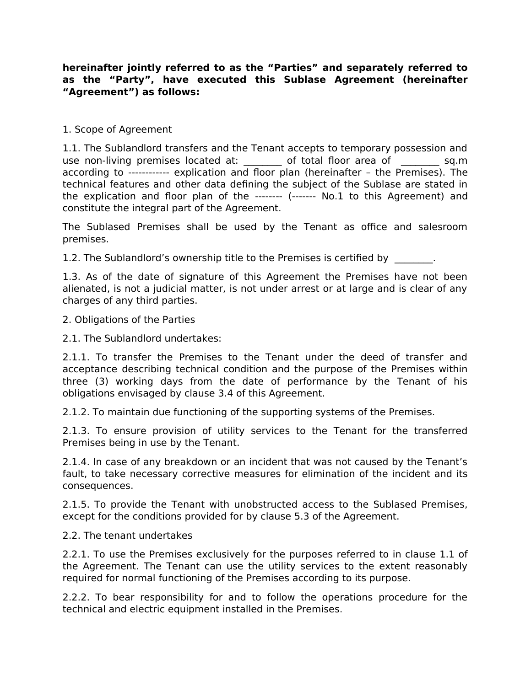## **hereinafter jointly referred to as the "Parties" and separately referred to as the "Party", have executed this Sublase Agreement (hereinafter "Agreement") as follows:**

## 1. Scope of Agreement

1.1. The Sublandlord transfers and the Tenant accepts to temporary possession and use non-living premises located at:  $\qquad \qquad$  of total floor area of  $\qquad \qquad$  sq.m according to ------------ explication and floor plan (hereinafter – the Premises). The technical features and other data defining the subject of the Sublase are stated in the explication and floor plan of the -------- (------- No.1 to this Agreement) and constitute the integral part of the Agreement.

The Sublased Premises shall be used by the Tenant as office and salesroom premises.

1.2. The Sublandlord's ownership title to the Premises is certified by  $\qquad \qquad$ .

1.3. As of the date of signature of this Agreement the Premises have not been alienated, is not a judicial matter, is not under arrest or at large and is clear of any charges of any third parties.

2. Obligations of the Parties

2.1. The Sublandlord undertakes:

2.1.1. To transfer the Premises to the Tenant under the deed of transfer and acceptance describing technical condition and the purpose of the Premises within three (3) working days from the date of performance by the Tenant of his obligations envisaged by clause 3.4 of this Agreement.

2.1.2. To maintain due functioning of the supporting systems of the Premises.

2.1.3. To ensure provision of utility services to the Tenant for the transferred Premises being in use by the Tenant.

2.1.4. In case of any breakdown or an incident that was not caused by the Tenant's fault, to take necessary corrective measures for elimination of the incident and its consequences.

2.1.5. To provide the Tenant with unobstructed access to the Sublased Premises, except for the conditions provided for by clause 5.3 of the Agreement.

## 2.2. The tenant undertakes

2.2.1. To use the Premises exclusively for the purposes referred to in clause 1.1 of the Agreement. The Tenant can use the utility services to the extent reasonably required for normal functioning of the Premises according to its purpose.

2.2.2. To bear responsibility for and to follow the operations procedure for the technical and electric equipment installed in the Premises.